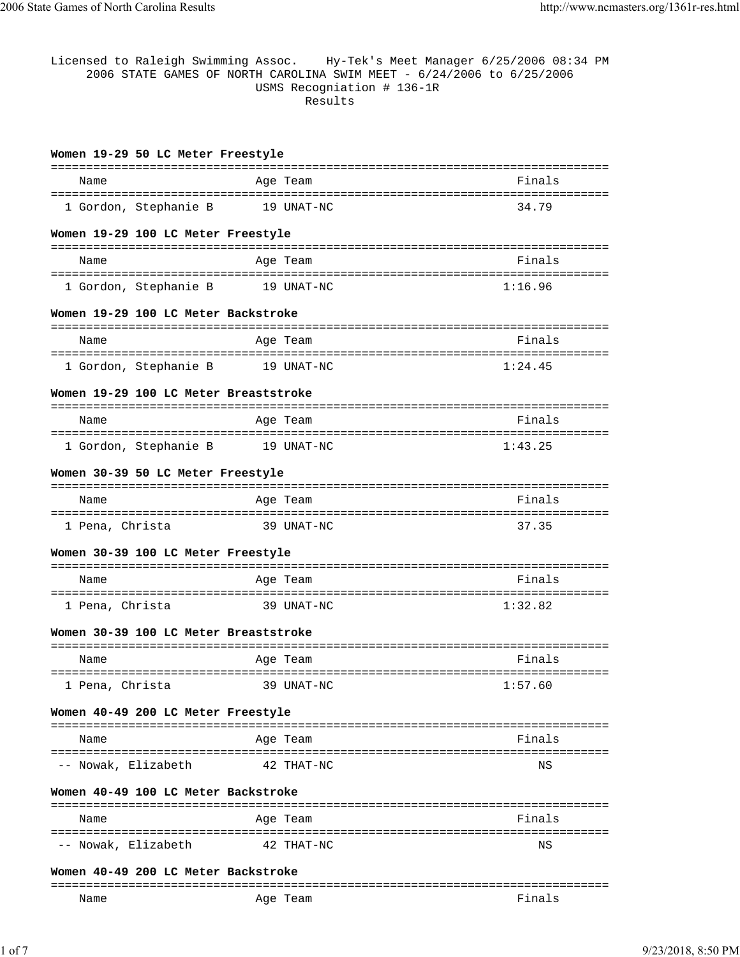| Licensed to Raleigh Swimming Assoc. Hy-Tek's Meet Manager 6/25/2006 08:34 PM<br>2006 STATE GAMES OF NORTH CAROLINA SWIM MEET - 6/24/2006 to 6/25/2006<br>USMS Recogniation # 136-1R<br>Results |  |            |         |  |
|------------------------------------------------------------------------------------------------------------------------------------------------------------------------------------------------|--|------------|---------|--|
| Women 19-29 50 LC Meter Freestyle                                                                                                                                                              |  |            |         |  |
| Name                                                                                                                                                                                           |  | Age Team   | Finals  |  |
|                                                                                                                                                                                                |  |            |         |  |
| 1 Gordon, Stephanie B                                                                                                                                                                          |  | 19 UNAT-NC | 34.79   |  |
| Women 19-29 100 LC Meter Freestyle                                                                                                                                                             |  |            |         |  |
| Name                                                                                                                                                                                           |  | Age Team   | Finals  |  |
| 1 Gordon, Stephanie B 19 UNAT-NC                                                                                                                                                               |  |            | 1:16.96 |  |
| Women 19-29 100 LC Meter Backstroke                                                                                                                                                            |  |            |         |  |
| Name                                                                                                                                                                                           |  | Age Team   | Finals  |  |
|                                                                                                                                                                                                |  |            |         |  |
| 1 Gordon, Stephanie B                                                                                                                                                                          |  | 19 UNAT-NC | 1:24.45 |  |
| Women 19-29 100 LC Meter Breaststroke                                                                                                                                                          |  |            |         |  |
| Name                                                                                                                                                                                           |  | Age Team   | Finals  |  |
| 1 Gordon, Stephanie B 19 UNAT-NC                                                                                                                                                               |  |            | 1:43.25 |  |
|                                                                                                                                                                                                |  |            |         |  |
| Women 30-39 50 LC Meter Freestyle                                                                                                                                                              |  |            |         |  |
| Name                                                                                                                                                                                           |  | Age Team   | Finals  |  |
| 1 Pena, Christa                                                                                                                                                                                |  | 39 UNAT-NC | 37.35   |  |
| Women 30-39 100 LC Meter Freestyle                                                                                                                                                             |  |            |         |  |
| Name                                                                                                                                                                                           |  | Age Team   | Finals  |  |
| 1 Pena, Christa                                                                                                                                                                                |  | 39 UNAT-NC | 1:32.82 |  |
| Women 30-39 100 LC Meter Breaststroke                                                                                                                                                          |  |            |         |  |
|                                                                                                                                                                                                |  |            |         |  |
| Name                                                                                                                                                                                           |  | Aqe Team   | Finals  |  |
| 1 Pena, Christa                                                                                                                                                                                |  | 39 UNAT-NC | 1:57.60 |  |
| Women 40-49 200 LC Meter Freestyle                                                                                                                                                             |  |            |         |  |
| Name                                                                                                                                                                                           |  | Age Team   | Finals  |  |
| -- Nowak, Elizabeth                                                                                                                                                                            |  | 42 THAT-NC | ΝS      |  |
| Women 40-49 100 LC Meter Backstroke                                                                                                                                                            |  |            |         |  |
|                                                                                                                                                                                                |  |            |         |  |
| Name                                                                                                                                                                                           |  | Age Team   | Finals  |  |
| -- Nowak, Elizabeth                                                                                                                                                                            |  | 42 THAT-NC | ΝS      |  |
| Women 40-49 200 LC Meter Backstroke                                                                                                                                                            |  |            |         |  |

Name Research Age Team Age Team Age Team Rinals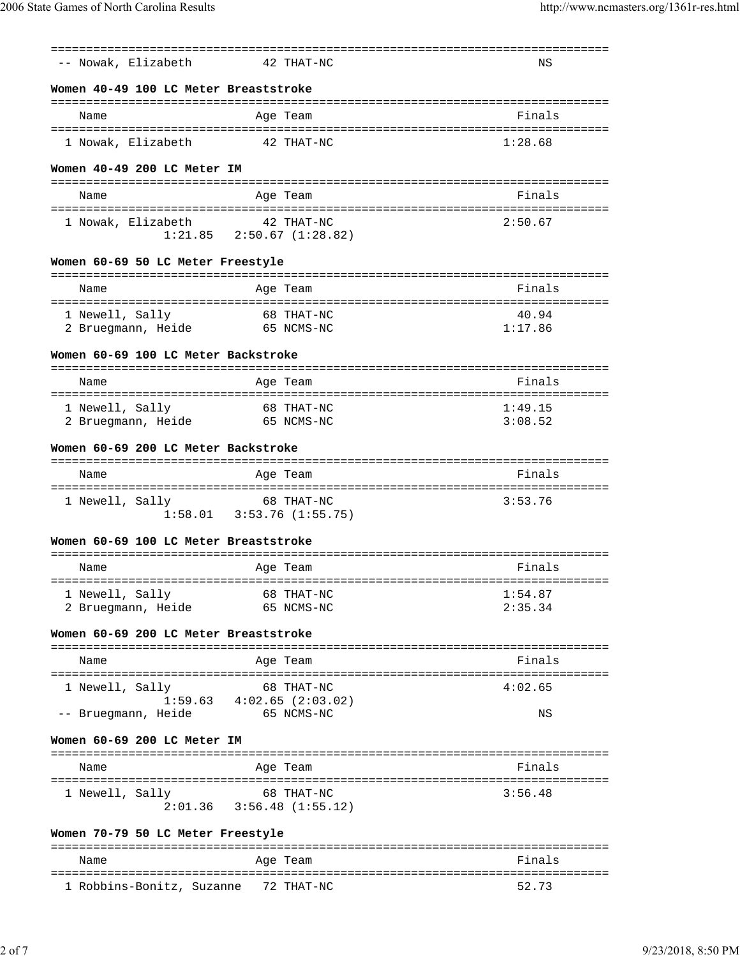| ----------------------------          | ==============                                |                    |  |  |  |
|---------------------------------------|-----------------------------------------------|--------------------|--|--|--|
| -- Nowak, Elizabeth                   | 42 THAT-NC                                    | ΝS                 |  |  |  |
| Women 40-49 100 LC Meter Breaststroke |                                               |                    |  |  |  |
| Name                                  | Age Team                                      | Finals             |  |  |  |
|                                       |                                               |                    |  |  |  |
| 1 Nowak, Elizabeth                    | 42 THAT-NC                                    | 1:28.68            |  |  |  |
| Women 40-49 200 LC Meter IM           |                                               |                    |  |  |  |
| Name                                  | Age Team                                      | Finals             |  |  |  |
|                                       |                                               |                    |  |  |  |
| 1 Nowak, Elizabeth                    | 42 THAT-NC<br>$1:21.85$ $2:50.67$ $(1:28.82)$ | 2:50.67            |  |  |  |
|                                       |                                               |                    |  |  |  |
| Women 60-69 50 LC Meter Freestyle     |                                               |                    |  |  |  |
| Name                                  | Age Team                                      | Finals             |  |  |  |
| 1 Newell, Sally                       | 68 THAT-NC                                    | 40.94              |  |  |  |
| 2 Bruegmann, Heide 65 NCMS-NC         |                                               | 1:17.86            |  |  |  |
| Women 60-69 100 LC Meter Backstroke   |                                               |                    |  |  |  |
| Name                                  | Age Team                                      | Finals             |  |  |  |
|                                       |                                               |                    |  |  |  |
| 1 Newell, Sally<br>2 Bruegmann, Heide | 68 THAT-NC<br>65 NCMS-NC                      | 1:49.15<br>3:08.52 |  |  |  |
|                                       |                                               |                    |  |  |  |
| Women 60-69 200 LC Meter Backstroke   |                                               |                    |  |  |  |
| Name                                  | Age Team                                      | Finals             |  |  |  |
| 1 Newell, Sally                       | 68 THAT-NC                                    | 3:53.76            |  |  |  |
|                                       | $1:58.01$ $3:53.76$ (1:55.75)                 |                    |  |  |  |
| Women 60-69 100 LC Meter Breaststroke |                                               |                    |  |  |  |
|                                       |                                               |                    |  |  |  |
| Name                                  | Age Team                                      | Finals             |  |  |  |
| 1 Newell, Sally                       | 68 THAT-NC                                    | 1:54.87            |  |  |  |
| 2 Bruegmann, Heide                    | 65 NCMS-NC                                    | 2:35.34            |  |  |  |
| Women 60-69 200 LC Meter Breaststroke |                                               |                    |  |  |  |
| Name                                  | Age Team                                      | Finals             |  |  |  |
| 1 Newell, Sally                       | 68 THAT-NC                                    | 4:02.65            |  |  |  |
|                                       | $1:59.63$ $4:02.65$ (2:03.02)                 |                    |  |  |  |
| -- Bruegmann, Heide                   | 65 NCMS-NC                                    | ΝS                 |  |  |  |
| Women 60-69 200 LC Meter IM           |                                               |                    |  |  |  |
| Name                                  | Age Team                                      | Finals             |  |  |  |
|                                       |                                               |                    |  |  |  |
| 1 Newell, Sally                       | 68 THAT-NC<br>$2:01.36$ $3:56.48$ (1:55.12)   | 3:56.48            |  |  |  |
|                                       |                                               |                    |  |  |  |
| Women 70-79 50 LC Meter Freestyle     |                                               |                    |  |  |  |
| Name                                  | Age Team                                      | Finals             |  |  |  |

=============================================================================== 1 Robbins-Bonitz, Suzanne 72 THAT-NC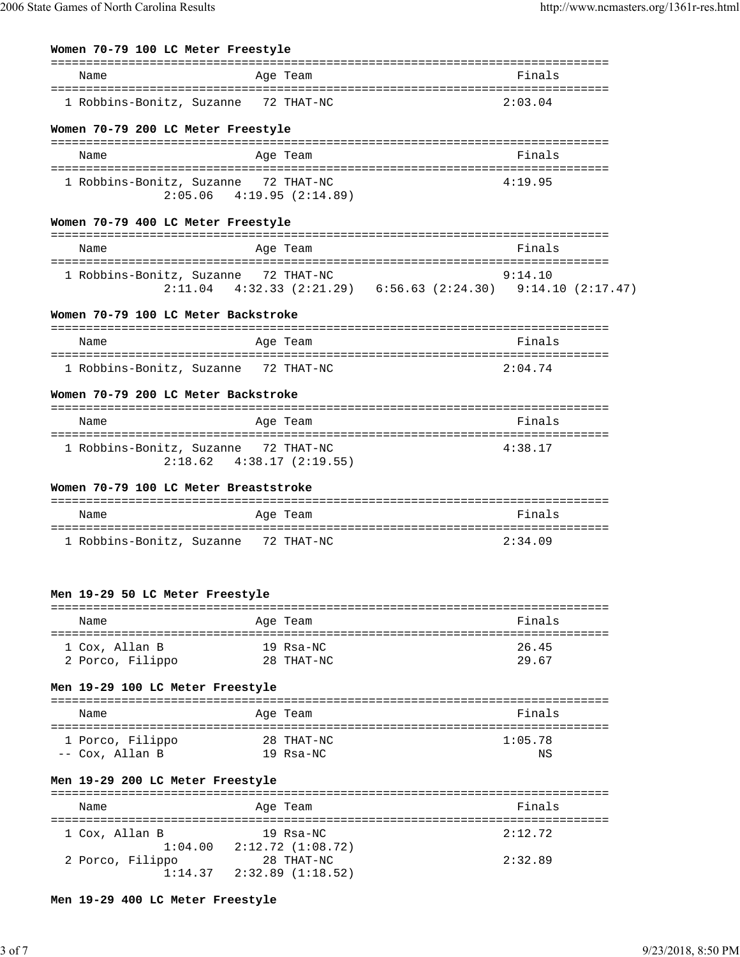# **Women 70-79 100 LC Meter Freestyle**

| Name                                  | Age Team                                                                | Finals                                                                                                     |
|---------------------------------------|-------------------------------------------------------------------------|------------------------------------------------------------------------------------------------------------|
|                                       | 1 Robbins-Bonitz, Suzanne 72 THAT-NC                                    | 2:03.04                                                                                                    |
| Women 70-79 200 LC Meter Freestyle    | ================                                                        |                                                                                                            |
| Name                                  | Age Team                                                                | Finals                                                                                                     |
|                                       | 1 Robbins-Bonitz, Suzanne 72 THAT-NC<br>$2:05.06$ 4:19.95 (2:14.89)     | 4:19.95                                                                                                    |
| Women 70-79 400 LC Meter Freestyle    |                                                                         | ================                                                                                           |
| Name                                  | Age Team                                                                | Finals                                                                                                     |
|                                       | 1 Robbins-Bonitz, Suzanne 72 THAT-NC                                    | 9:14.10<br>tz, Suzanne 72 THAT-NC 9:14.10<br>2:11.04 4:32.33 (2:21.29) 6:56.63 (2:24.30) 9:14.10 (2:17.47) |
| Women 70-79 100 LC Meter Backstroke   | ================================                                        | ===============                                                                                            |
| Name                                  | Age Team                                                                | Finals                                                                                                     |
|                                       | 1 Robbins-Bonitz, Suzanne 72 THAT-NC                                    | 2:04.74                                                                                                    |
| Women 70-79 200 LC Meter Backstroke   |                                                                         |                                                                                                            |
| Name                                  | Age Team                                                                | Finals                                                                                                     |
|                                       | 1 Robbins-Bonitz, Suzanne 72 THAT-NC<br>$2:18.62$ $4:38.17$ $(2:19.55)$ | 4:38.17                                                                                                    |
| Women 70-79 100 LC Meter Breaststroke |                                                                         |                                                                                                            |

| Name                      | Age Team   | Finals  |
|---------------------------|------------|---------|
| 1 Robbins-Bonitz, Suzanne | 72 THAT-NC | 2:34.09 |

# **Men 19-29 50 LC Meter Freestyle**

| Name             | Age Team   | Finals |
|------------------|------------|--------|
| 1 Cox, Allan B   | 19 Rsa-NC  | 26.45  |
| 2 Porco, Filippo | 28 THAT-NC | 29.67  |

# **Men 19-29 100 LC Meter Freestyle**

| Name             | Age Team   | Finals  |
|------------------|------------|---------|
| 1 Porco, Filippo | 28 THAT-NC | 1:05.78 |
| -- Cox, Allan B  | 19 Rsa-NC  | ΝS      |

### **Men 19-29 200 LC Meter Freestyle**

| Name                      | Age Team                                      | Finals  |  |  |  |  |
|---------------------------|-----------------------------------------------|---------|--|--|--|--|
| 1 Cox, Allan B<br>1:04.00 | $19$ Rsa-NC<br>2:12.72 (1:08.72)              | 2:12.72 |  |  |  |  |
| 2 Porco, Filippo          | 28 THAT-NC<br>$1:14.37$ $2:32.89$ $(1:18.52)$ | 2:32.89 |  |  |  |  |

**Men 19-29 400 LC Meter Freestyle**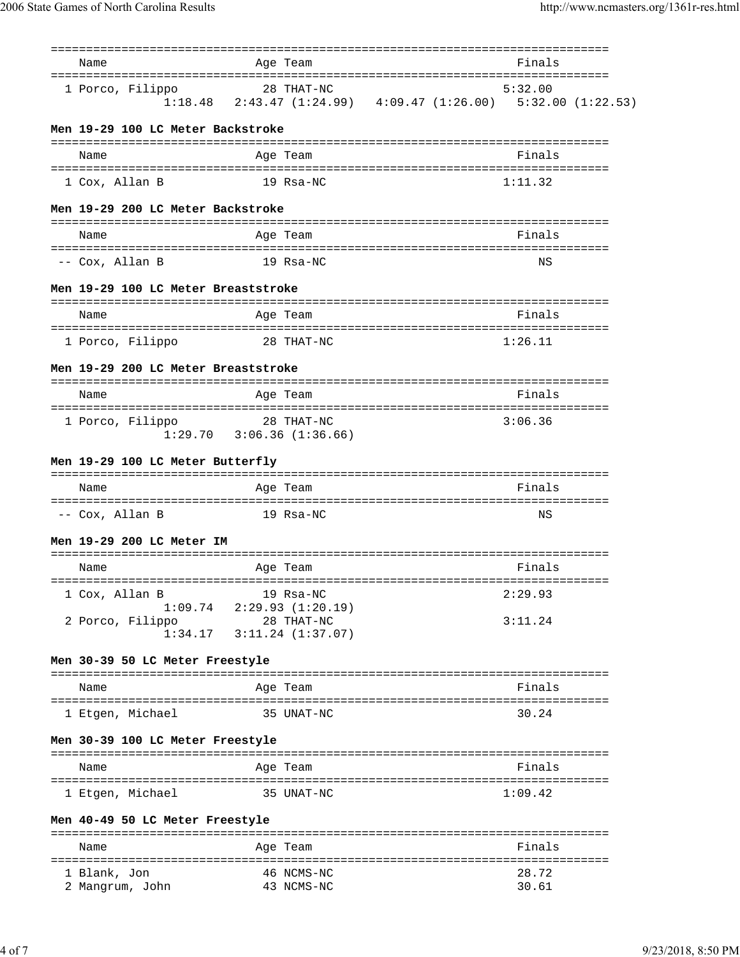| Name                                                      | Age Team                                                                      |                                      | Finals                       |  |
|-----------------------------------------------------------|-------------------------------------------------------------------------------|--------------------------------------|------------------------------|--|
| 1 Porco, Filippo                                          | 28 THAT-NC<br>$1:18.48$ 2:43.47 (1:24.99) 4:09.47 (1:26.00) 5:32.00 (1:22.53) |                                      | 5:32.00                      |  |
| Men 19-29 100 LC Meter Backstroke                         |                                                                               |                                      |                              |  |
| Name                                                      | Age Team                                                                      |                                      | Finals                       |  |
| 1 Cox, Allan B                                            | 19 Rsa-NC                                                                     |                                      | 1:11.32                      |  |
| Men 19-29 200 LC Meter Backstroke                         |                                                                               |                                      |                              |  |
| Name                                                      | Age Team                                                                      |                                      | =================<br>Finals  |  |
| -- Cox, Allan B                                           | 19 Rsa-NC                                                                     |                                      | ΝS                           |  |
| Men 19-29 100 LC Meter Breaststroke                       |                                                                               |                                      |                              |  |
| Name                                                      | Age Team                                                                      |                                      | Finals                       |  |
| 1 Porco, Filippo                                          | 28 THAT-NC                                                                    |                                      | 1:26.11                      |  |
| Men 19-29 200 LC Meter Breaststroke                       |                                                                               |                                      |                              |  |
| =========================<br>Name                         | Age Team                                                                      |                                      | Finals                       |  |
| =====================================<br>1 Porco, Filippo | ppo 28 THAT-NC<br>1:29.70 3:06.36 (1:36.66)                                   | :=================================== | 3:06.36                      |  |
| Men 19-29 100 LC Meter Butterfly                          |                                                                               |                                      |                              |  |
| Name                                                      | Age Team                                                                      |                                      | Finals                       |  |
| -- Cox, Allan B                                           | 19 Rsa-NC                                                                     |                                      | ΝS                           |  |
| Men 19-29 200 LC Meter IM                                 |                                                                               |                                      |                              |  |
| ======================================<br>Name            | Age Team                                                                      |                                      | Finals                       |  |
| 1 Cox, Allan B<br>1:09.74                                 | 19 Rsa-NC<br>2:29.93(1:20.19)                                                 |                                      | =================<br>2:29.93 |  |
| 2 Porco, Filippo<br>1:34.17                               | 28 THAT-NC<br>$3:11.24$ $(1:37.07)$                                           |                                      | 3:11.24                      |  |
|                                                           |                                                                               |                                      |                              |  |
| Men 30-39 50 LC Meter Freestyle                           |                                                                               |                                      |                              |  |
| Name                                                      | Age Team                                                                      |                                      | Finals                       |  |
| 1 Etgen, Michael                                          | 35 UNAT-NC                                                                    |                                      | 30.24                        |  |
| Men 30-39 100 LC Meter Freestyle                          |                                                                               |                                      |                              |  |
| Name                                                      | Age Team                                                                      |                                      | Finals                       |  |
| 1 Etgen, Michael                                          | 35 UNAT-NC                                                                    |                                      | 1:09.42                      |  |
| Men 40-49 50 LC Meter Freestyle                           |                                                                               |                                      |                              |  |
| Name                                                      | Age Team                                                                      |                                      | Finals                       |  |
| 1 Blank, Jon<br>2 Mangrum, John                           | 46 NCMS-NC<br>43 NCMS-NC                                                      |                                      | 28.72<br>30.61               |  |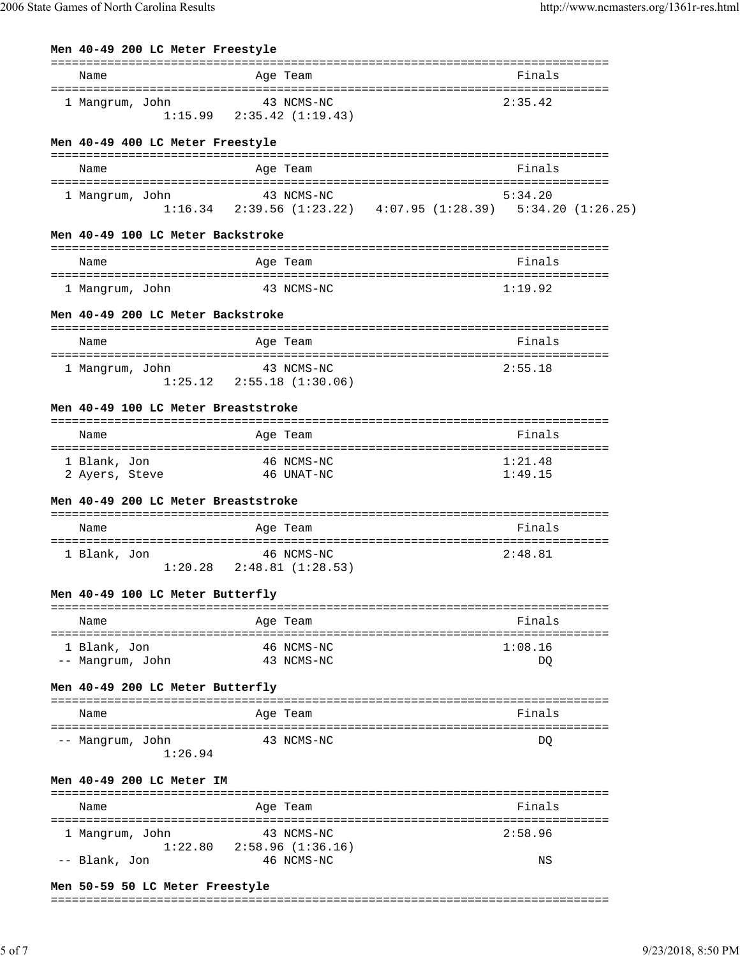| Men 40-49 200 LC Meter Freestyle              |                                               |                                                                                        |
|-----------------------------------------------|-----------------------------------------------|----------------------------------------------------------------------------------------|
| Name                                          | Age Team                                      | Finals                                                                                 |
| 1 Mangrum, John                               | 43 NCMS-NC<br>$1:15.99$ $2:35.42$ $(1:19.43)$ | 2:35.42                                                                                |
| Men 40-49 400 LC Meter Freestyle              |                                               |                                                                                        |
| Name                                          | Age Team                                      | Finals                                                                                 |
| 1 Mangrum, John                               | 43 NCMS-NC                                    | 5:34.20<br>$1:16.34$ $2:39.56$ $(1:23.22)$ $4:07.95$ $(1:28.39)$ $5:34.20$ $(1:26.25)$ |
| Men 40-49 100 LC Meter Backstroke             |                                               |                                                                                        |
| Name<br>===================================== | Age Team                                      | Finals<br>==================================                                           |
| 1 Mangrum, John                               | 43 NCMS-NC                                    | 1:19.92                                                                                |
| Men 40-49 200 LC Meter Backstroke             |                                               |                                                                                        |
| Name                                          | Age Team                                      | Finals                                                                                 |
| 1 Mangrum, John                               | 43 NCMS-NC<br>$1:25.12$ $2:55.18$ $(1:30.06)$ | 2:55.18                                                                                |
| Men 40-49 100 LC Meter Breaststroke           |                                               |                                                                                        |
| Name                                          | Age Team                                      | Finals                                                                                 |
| 1 Blank, Jon<br>2 Ayers, Steve                | 46 NCMS-NC<br>46 UNAT-NC                      | 1:21.48<br>1:49.15                                                                     |
| Men 40-49 200 LC Meter Breaststroke           |                                               |                                                                                        |
| Name                                          | Age Team                                      | Finals                                                                                 |
| 1 Blank, Jon                                  | 46 NCMS-NC<br>$1:20.28$ $2:48.81$ $(1:28.53)$ | 2:48.81                                                                                |
| Men 40-49 100 LC Meter Butterfly              |                                               |                                                                                        |
| Name                                          | Age Team                                      | Finals                                                                                 |
| 1 Blank, Jon<br>-- Mangrum, John              | 46 NCMS-NC<br>43 NCMS-NC                      | 1:08.16<br>DQ                                                                          |
| Men 40-49 200 LC Meter Butterfly              |                                               |                                                                                        |
| Name                                          | Age Team                                      | Finals                                                                                 |
| -- Mangrum, John<br>1:26.94                   | 43 NCMS-NC                                    | DQ                                                                                     |
| Men 40-49 200 LC Meter IM                     |                                               |                                                                                        |
| Name                                          | Age Team                                      | Finals                                                                                 |
| 1 Mangrum, John                               | 43 NCMS-NC                                    | 2:58.96                                                                                |
| 1:22.80<br>-- Blank, Jon                      | 2:58.96 (1:36.16)<br>46 NCMS-NC               | ΝS                                                                                     |

#### **Men 50-59 50 LC Meter Freestyle**

#### ===============================================================================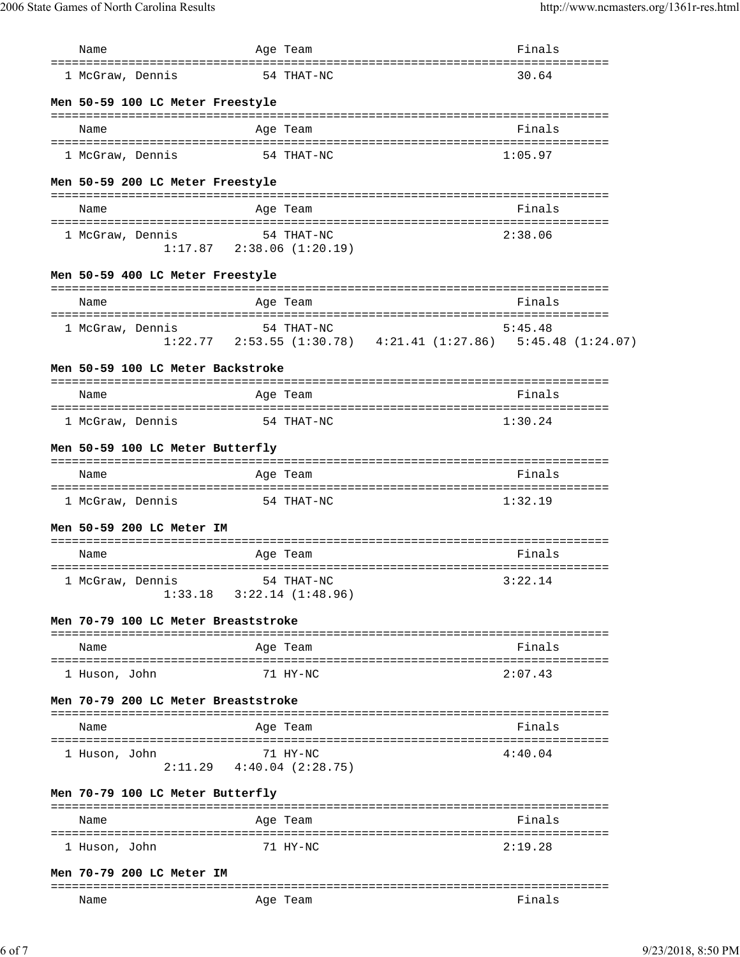| Name                                                       |            | Age Team                                      |                                                                             | Finals  |  |
|------------------------------------------------------------|------------|-----------------------------------------------|-----------------------------------------------------------------------------|---------|--|
| ======================================<br>1 McGraw, Dennis |            | 54 THAT-NC                                    | :=================================                                          | 30.64   |  |
| Men 50-59 100 LC Meter Freestyle                           |            |                                               |                                                                             |         |  |
| Name                                                       |            | Age Team                                      |                                                                             | Finals  |  |
| 1 McGraw, Dennis                                           | 54 THAT-NC |                                               |                                                                             | 1:05.97 |  |
| Men 50-59 200 LC Meter Freestyle                           |            |                                               |                                                                             |         |  |
| Name                                                       |            | Age Team                                      |                                                                             | Finals  |  |
| 1 McGraw, Dennis                                           |            | 54 THAT-NC<br>$1:17.87$ $2:38.06$ $(1:20.19)$ |                                                                             | 2:38.06 |  |
| Men 50-59 400 LC Meter Freestyle                           |            |                                               |                                                                             |         |  |
| Name                                                       |            | Age Team                                      |                                                                             | Finals  |  |
| 1 McGraw, Dennis                                           |            | 54 THAT-NC                                    |                                                                             | 5:45.48 |  |
|                                                            |            |                                               | $1:22.77$ $2:53.55$ $(1:30.78)$ $4:21.41$ $(1:27.86)$ $5:45.48$ $(1:24.07)$ |         |  |
| Men 50-59 100 LC Meter Backstroke                          |            |                                               |                                                                             |         |  |
| Name                                                       |            | Age Team                                      |                                                                             | Finals  |  |
| 1 McGraw, Dennis                                           |            | 54 THAT-NC                                    |                                                                             | 1:30.24 |  |
| Men 50-59 100 LC Meter Butterfly                           |            |                                               |                                                                             |         |  |
| Name                                                       |            | Age Team                                      |                                                                             | Finals  |  |
| 1 McGraw, Dennis                                           | 54 THAT-NC |                                               |                                                                             | 1:32.19 |  |
| Men 50-59 200 LC Meter IM                                  |            |                                               |                                                                             |         |  |
| Name                                                       |            | Age Team                                      |                                                                             | Finals  |  |
| 1 McGraw, Dennis 54 THAT-NC                                |            | $1:33.18$ $3:22.14$ $(1:48.96)$               |                                                                             | 3:22.14 |  |
| Men 70-79 100 LC Meter Breaststroke                        |            |                                               |                                                                             |         |  |
| Name                                                       |            | Age Team                                      |                                                                             | Finals  |  |
| 1 Huson, John                                              |            | 71 HY-NC                                      |                                                                             | 2:07.43 |  |
| Men 70-79 200 LC Meter Breaststroke                        |            |                                               |                                                                             |         |  |
| Name                                                       |            | Age Team                                      |                                                                             | Finals  |  |
| 1 Huson, John                                              |            | 71 HY-NC                                      |                                                                             | 4:40.04 |  |
|                                                            |            | $2:11.29$ $4:40.04$ $(2:28.75)$               |                                                                             |         |  |
| Men 70-79 100 LC Meter Butterfly                           |            |                                               |                                                                             |         |  |
| Name                                                       |            | Age Team                                      |                                                                             | Finals  |  |
| 1 Huson, John                                              |            | 71 HY-NC                                      |                                                                             | 2:19.28 |  |
| Men 70-79 200 LC Meter IM                                  |            |                                               |                                                                             |         |  |
| Name                                                       |            | Age Team                                      |                                                                             | Finals  |  |

6 of 7 9/23/2018, 8:50 PM